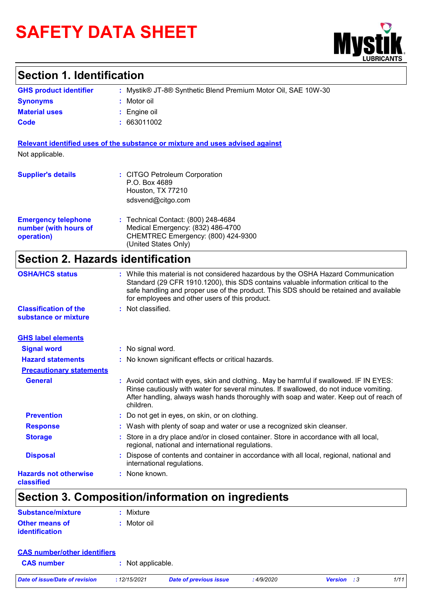# **SAFETY DATA SHEET**



### **Section 1. Identification**

| <b>GHS product identifier</b> | : Mystik® JT-8® Synthetic Blend Premium Motor Oil, SAE 10W-30 |
|-------------------------------|---------------------------------------------------------------|
| <b>Synonyms</b>               | : Motor oil                                                   |
| <b>Material uses</b>          | $\therefore$ Engine oil                                       |
| Code                          | 663011002                                                     |

**Relevant identified uses of the substance or mixture and uses advised against** Not applicable.

| <b>Supplier's details</b>                                         | : CITGO Petroleum Corporation<br>P.O. Box 4689<br>Houston, TX 77210<br>sdsvend@citgo.com                                               |
|-------------------------------------------------------------------|----------------------------------------------------------------------------------------------------------------------------------------|
| <b>Emergency telephone</b><br>number (with hours of<br>operation) | : Technical Contact: (800) 248-4684<br>Medical Emergency: (832) 486-4700<br>CHEMTREC Emergency: (800) 424-9300<br>(United States Only) |

# **Section 2. Hazards identification**

| <b>OSHA/HCS status</b>                               | : While this material is not considered hazardous by the OSHA Hazard Communication<br>Standard (29 CFR 1910.1200), this SDS contains valuable information critical to the<br>safe handling and proper use of the product. This SDS should be retained and available<br>for employees and other users of this product. |
|------------------------------------------------------|-----------------------------------------------------------------------------------------------------------------------------------------------------------------------------------------------------------------------------------------------------------------------------------------------------------------------|
| <b>Classification of the</b><br>substance or mixture | : Not classified.                                                                                                                                                                                                                                                                                                     |
| <b>GHS label elements</b>                            |                                                                                                                                                                                                                                                                                                                       |
| <b>Signal word</b>                                   | : No signal word.                                                                                                                                                                                                                                                                                                     |
| <b>Hazard statements</b>                             | : No known significant effects or critical hazards.                                                                                                                                                                                                                                                                   |
| <b>Precautionary statements</b>                      |                                                                                                                                                                                                                                                                                                                       |
| <b>General</b>                                       | : Avoid contact with eyes, skin and clothing May be harmful if swallowed. IF IN EYES:<br>Rinse cautiously with water for several minutes. If swallowed, do not induce vomiting.<br>After handling, always wash hands thoroughly with soap and water. Keep out of reach of<br>children.                                |
| <b>Prevention</b>                                    | : Do not get in eyes, on skin, or on clothing.                                                                                                                                                                                                                                                                        |
| <b>Response</b>                                      | : Wash with plenty of soap and water or use a recognized skin cleanser.                                                                                                                                                                                                                                               |
| <b>Storage</b>                                       | : Store in a dry place and/or in closed container. Store in accordance with all local,<br>regional, national and international regulations.                                                                                                                                                                           |
| <b>Disposal</b>                                      | : Dispose of contents and container in accordance with all local, regional, national and<br>international regulations.                                                                                                                                                                                                |
| <b>Hazards not otherwise</b><br>classified           | : None known.                                                                                                                                                                                                                                                                                                         |

# **Section 3. Composition/information on ingredients**

| Substance/mixture     | : Mixture   |
|-----------------------|-------------|
| Other means of        | : Motor oil |
| <b>identification</b> |             |

| <b>CAS number/other identifiers</b> |                   |                        |            |                    |      |
|-------------------------------------|-------------------|------------------------|------------|--------------------|------|
| <b>CAS number</b>                   | : Not applicable. |                        |            |                    |      |
| Date of issue/Date of revision      | :12/15/2021       | Date of previous issue | : 4/9/2020 | <b>Version</b> : 3 | 1/11 |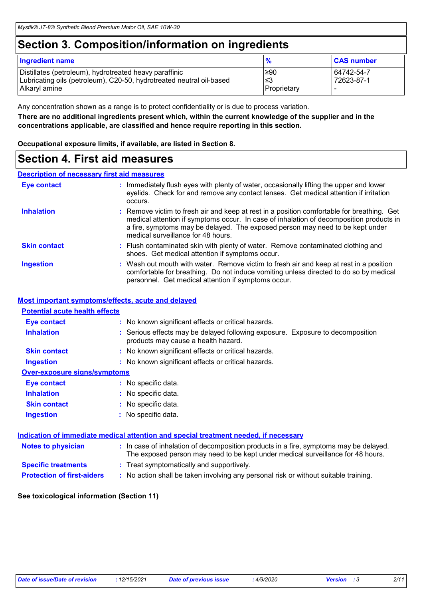### **Section 3. Composition/information on ingredients**

| <b>Ingredient name</b>                                                                                                                          | %                         | <b>CAS number</b>        |
|-------------------------------------------------------------------------------------------------------------------------------------------------|---------------------------|--------------------------|
| Distillates (petroleum), hydrotreated heavy paraffinic<br>Lubricating oils (petroleum), C20-50, hydrotreated neutral oil-based<br>Alkaryl amine | ≥90<br>3≥ا<br>Proprietary | 64742-54-7<br>72623-87-1 |

Any concentration shown as a range is to protect confidentiality or is due to process variation.

**There are no additional ingredients present which, within the current knowledge of the supplier and in the concentrations applicable, are classified and hence require reporting in this section.**

**Occupational exposure limits, if available, are listed in Section 8.**

### **Section 4. First aid measures**

#### **Description of necessary first aid measures**

| <b>Eye contact</b>  | : Immediately flush eyes with plenty of water, occasionally lifting the upper and lower<br>eyelids. Check for and remove any contact lenses. Get medical attention if irritation<br>occurs.                                                                                                                  |
|---------------------|--------------------------------------------------------------------------------------------------------------------------------------------------------------------------------------------------------------------------------------------------------------------------------------------------------------|
| <b>Inhalation</b>   | : Remove victim to fresh air and keep at rest in a position comfortable for breathing. Get<br>medical attention if symptoms occur. In case of inhalation of decomposition products in<br>a fire, symptoms may be delayed. The exposed person may need to be kept under<br>medical surveillance for 48 hours. |
| <b>Skin contact</b> | : Flush contaminated skin with plenty of water. Remove contaminated clothing and<br>shoes. Get medical attention if symptoms occur.                                                                                                                                                                          |
| <b>Ingestion</b>    | : Wash out mouth with water. Remove victim to fresh air and keep at rest in a position<br>comfortable for breathing. Do not induce vomiting unless directed to do so by medical<br>personnel. Get medical attention if symptoms occur.                                                                       |

### **Most important symptoms/effects, acute and delayed**

| <b>Potential acute health effects</b> |                                                                                                                       |
|---------------------------------------|-----------------------------------------------------------------------------------------------------------------------|
| <b>Eye contact</b>                    | : No known significant effects or critical hazards.                                                                   |
| <b>Inhalation</b>                     | : Serious effects may be delayed following exposure. Exposure to decomposition<br>products may cause a health hazard. |
| <b>Skin contact</b>                   | : No known significant effects or critical hazards.                                                                   |
| Ingestion                             | : No known significant effects or critical hazards.                                                                   |
| <b>Over-exposure signs/symptoms</b>   |                                                                                                                       |
| <b>Eye contact</b>                    | : No specific data.                                                                                                   |
| <b>Inhalation</b>                     | : No specific data.                                                                                                   |
| <b>Skin contact</b>                   | : No specific data.                                                                                                   |
| <b>Ingestion</b>                      | : No specific data.                                                                                                   |
|                                       |                                                                                                                       |
|                                       | <u>Indication of immediate medical attention and special treatment needed, if necessary</u>                           |
| alatan ta mbunisirsa (n               | i iliyo qoraliy kala kala kala kala karama ma'iliyo ma'iliyaha kuna kala karama ma'iliyo ka alala wada iliyo d        |

| <b>Notes to physician</b>         | : In case of inhalation of decomposition products in a fire, symptoms may be delayed.<br>The exposed person may need to be kept under medical surveillance for 48 hours. |
|-----------------------------------|--------------------------------------------------------------------------------------------------------------------------------------------------------------------------|
| <b>Specific treatments</b>        | : Treat symptomatically and supportively.                                                                                                                                |
| <b>Protection of first-aiders</b> | : No action shall be taken involving any personal risk or without suitable training.                                                                                     |

#### **See toxicological information (Section 11)**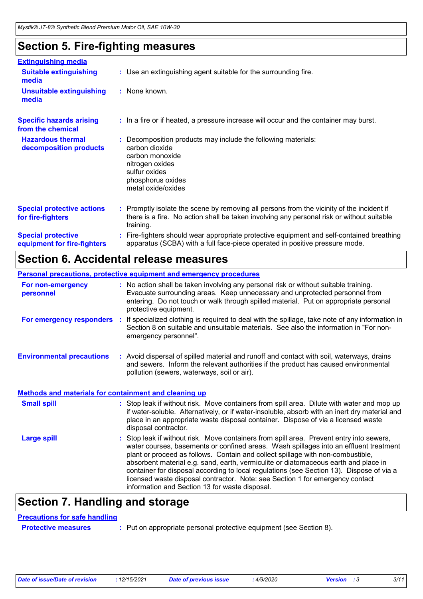# **Section 5. Fire-fighting measures**

| <b>Extinguishing media</b>                               |                                                                                                                                                                                                     |  |
|----------------------------------------------------------|-----------------------------------------------------------------------------------------------------------------------------------------------------------------------------------------------------|--|
| <b>Suitable extinguishing</b><br>media                   | : Use an extinguishing agent suitable for the surrounding fire.                                                                                                                                     |  |
| <b>Unsuitable extinguishing</b><br>media                 | : None known.                                                                                                                                                                                       |  |
| <b>Specific hazards arising</b><br>from the chemical     | : In a fire or if heated, a pressure increase will occur and the container may burst.                                                                                                               |  |
| <b>Hazardous thermal</b><br>decomposition products       | Decomposition products may include the following materials:<br>carbon dioxide<br>carbon monoxide<br>nitrogen oxides<br>sulfur oxides<br>phosphorus oxides<br>metal oxide/oxides                     |  |
| <b>Special protective actions</b><br>for fire-fighters   | : Promptly isolate the scene by removing all persons from the vicinity of the incident if<br>there is a fire. No action shall be taken involving any personal risk or without suitable<br>training. |  |
| <b>Special protective</b><br>equipment for fire-fighters | Fire-fighters should wear appropriate protective equipment and self-contained breathing<br>apparatus (SCBA) with a full face-piece operated in positive pressure mode.                              |  |

### **Section 6. Accidental release measures**

|                                                              | <b>Personal precautions, protective equipment and emergency procedures</b>                                                                                                                                                                                                                                                                                                                                                                                                                                                                                                                 |  |
|--------------------------------------------------------------|--------------------------------------------------------------------------------------------------------------------------------------------------------------------------------------------------------------------------------------------------------------------------------------------------------------------------------------------------------------------------------------------------------------------------------------------------------------------------------------------------------------------------------------------------------------------------------------------|--|
| For non-emergency<br>personnel                               | : No action shall be taken involving any personal risk or without suitable training.<br>Evacuate surrounding areas. Keep unnecessary and unprotected personnel from<br>entering. Do not touch or walk through spilled material. Put on appropriate personal<br>protective equipment.                                                                                                                                                                                                                                                                                                       |  |
|                                                              | For emergency responders : If specialized clothing is required to deal with the spillage, take note of any information in<br>Section 8 on suitable and unsuitable materials. See also the information in "For non-<br>emergency personnel".                                                                                                                                                                                                                                                                                                                                                |  |
| <b>Environmental precautions</b>                             | : Avoid dispersal of spilled material and runoff and contact with soil, waterways, drains<br>and sewers. Inform the relevant authorities if the product has caused environmental<br>pollution (sewers, waterways, soil or air).                                                                                                                                                                                                                                                                                                                                                            |  |
| <b>Methods and materials for containment and cleaning up</b> |                                                                                                                                                                                                                                                                                                                                                                                                                                                                                                                                                                                            |  |
| <b>Small spill</b>                                           | : Stop leak if without risk. Move containers from spill area. Dilute with water and mop up<br>if water-soluble. Alternatively, or if water-insoluble, absorb with an inert dry material and<br>place in an appropriate waste disposal container. Dispose of via a licensed waste<br>disposal contractor.                                                                                                                                                                                                                                                                                   |  |
| <b>Large spill</b>                                           | : Stop leak if without risk. Move containers from spill area. Prevent entry into sewers,<br>water courses, basements or confined areas. Wash spillages into an effluent treatment<br>plant or proceed as follows. Contain and collect spillage with non-combustible,<br>absorbent material e.g. sand, earth, vermiculite or diatomaceous earth and place in<br>container for disposal according to local regulations (see Section 13). Dispose of via a<br>licensed waste disposal contractor. Note: see Section 1 for emergency contact<br>information and Section 13 for waste disposal. |  |

# **Section 7. Handling and storage**

### **Precautions for safe handling**

**Protective measures :** Put on appropriate personal protective equipment (see Section 8).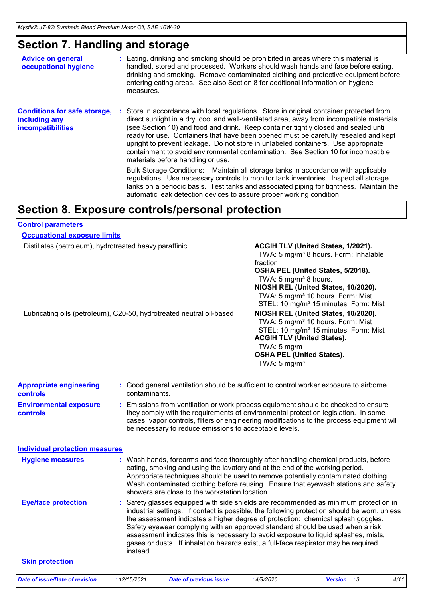# **Section 7. Handling and storage**

| <b>Advice on general</b><br>occupational hygiene                                 | : Eating, drinking and smoking should be prohibited in areas where this material is<br>handled, stored and processed. Workers should wash hands and face before eating,<br>drinking and smoking. Remove contaminated clothing and protective equipment before<br>entering eating areas. See also Section 8 for additional information on hygiene<br>measures.                                                                                                                                                                                                                      |
|----------------------------------------------------------------------------------|------------------------------------------------------------------------------------------------------------------------------------------------------------------------------------------------------------------------------------------------------------------------------------------------------------------------------------------------------------------------------------------------------------------------------------------------------------------------------------------------------------------------------------------------------------------------------------|
| <b>Conditions for safe storage,</b><br>including any<br><b>incompatibilities</b> | : Store in accordance with local regulations. Store in original container protected from<br>direct sunlight in a dry, cool and well-ventilated area, away from incompatible materials<br>(see Section 10) and food and drink. Keep container tightly closed and sealed until<br>ready for use. Containers that have been opened must be carefully resealed and kept<br>upright to prevent leakage. Do not store in unlabeled containers. Use appropriate<br>containment to avoid environmental contamination. See Section 10 for incompatible<br>materials before handling or use. |
|                                                                                  | Bulk Storage Conditions: Maintain all storage tanks in accordance with applicable<br>regulations. Use necessary controls to monitor tank inventories. Inspect all storage<br>tanks on a periodic basis. Test tanks and associated piping for tightness. Maintain the<br>automatic leak detection devices to assure proper working condition.                                                                                                                                                                                                                                       |
|                                                                                  | Section 8. Exposure controls/personal protection                                                                                                                                                                                                                                                                                                                                                                                                                                                                                                                                   |

### **Control parameters**

| <b>Occupational exposure limits</b>                                  |                                                                                                                                                                                                                                                                                                                                                                                                                                                                                                                                                     |                                                                                                                                |                                                  |                                                                                                                                                                                                                                                                           |  |
|----------------------------------------------------------------------|-----------------------------------------------------------------------------------------------------------------------------------------------------------------------------------------------------------------------------------------------------------------------------------------------------------------------------------------------------------------------------------------------------------------------------------------------------------------------------------------------------------------------------------------------------|--------------------------------------------------------------------------------------------------------------------------------|--------------------------------------------------|---------------------------------------------------------------------------------------------------------------------------------------------------------------------------------------------------------------------------------------------------------------------------|--|
| Distillates (petroleum), hydrotreated heavy paraffinic               |                                                                                                                                                                                                                                                                                                                                                                                                                                                                                                                                                     |                                                                                                                                | fraction<br>TWA: 5 mg/m <sup>3</sup> 8 hours.    | ACGIH TLV (United States, 1/2021).<br>TWA: 5 mg/m <sup>3</sup> 8 hours. Form: Inhalable<br>OSHA PEL (United States, 5/2018).<br>NIOSH REL (United States, 10/2020).<br>TWA: 5 mg/m <sup>3</sup> 10 hours. Form: Mist<br>STEL: 10 mg/m <sup>3</sup> 15 minutes. Form: Mist |  |
| Lubricating oils (petroleum), C20-50, hydrotreated neutral oil-based |                                                                                                                                                                                                                                                                                                                                                                                                                                                                                                                                                     |                                                                                                                                | TWA: $5 \text{ mg/m}$<br>TWA: $5 \text{ mg/m}^3$ | NIOSH REL (United States, 10/2020).<br>TWA: 5 mg/m <sup>3</sup> 10 hours. Form: Mist<br>STEL: 10 mg/m <sup>3</sup> 15 minutes. Form: Mist<br><b>ACGIH TLV (United States).</b><br><b>OSHA PEL (United States).</b>                                                        |  |
| <b>Appropriate engineering</b><br><b>controls</b>                    | contaminants.                                                                                                                                                                                                                                                                                                                                                                                                                                                                                                                                       |                                                                                                                                |                                                  | : Good general ventilation should be sufficient to control worker exposure to airborne                                                                                                                                                                                    |  |
| <b>Environmental exposure</b><br>controls                            | : Emissions from ventilation or work process equipment should be checked to ensure<br>they comply with the requirements of environmental protection legislation. In some<br>cases, vapor controls, filters or engineering modifications to the process equipment will<br>be necessary to reduce emissions to acceptable levels.                                                                                                                                                                                                                     |                                                                                                                                |                                                  |                                                                                                                                                                                                                                                                           |  |
| <b>Individual protection measures</b>                                |                                                                                                                                                                                                                                                                                                                                                                                                                                                                                                                                                     |                                                                                                                                |                                                  |                                                                                                                                                                                                                                                                           |  |
| <b>Hygiene measures</b>                                              |                                                                                                                                                                                                                                                                                                                                                                                                                                                                                                                                                     | eating, smoking and using the lavatory and at the end of the working period.<br>showers are close to the workstation location. |                                                  | : Wash hands, forearms and face thoroughly after handling chemical products, before<br>Appropriate techniques should be used to remove potentially contaminated clothing.<br>Wash contaminated clothing before reusing. Ensure that eyewash stations and safety           |  |
| <b>Eye/face protection</b>                                           | : Safety glasses equipped with side shields are recommended as minimum protection in<br>industrial settings. If contact is possible, the following protection should be worn, unless<br>the assessment indicates a higher degree of protection: chemical splash goggles.<br>Safety eyewear complying with an approved standard should be used when a risk<br>assessment indicates this is necessary to avoid exposure to liquid splashes, mists,<br>gases or dusts. If inhalation hazards exist, a full-face respirator may be required<br>instead. |                                                                                                                                |                                                  |                                                                                                                                                                                                                                                                           |  |
| <b>Skin protection</b>                                               |                                                                                                                                                                                                                                                                                                                                                                                                                                                                                                                                                     |                                                                                                                                |                                                  |                                                                                                                                                                                                                                                                           |  |
| Date of issue/Date of revision                                       | : 12/15/2021                                                                                                                                                                                                                                                                                                                                                                                                                                                                                                                                        | <b>Date of previous issue</b>                                                                                                  | : 4/9/2020                                       | 4/11<br>Version<br>$\cdot$ :3                                                                                                                                                                                                                                             |  |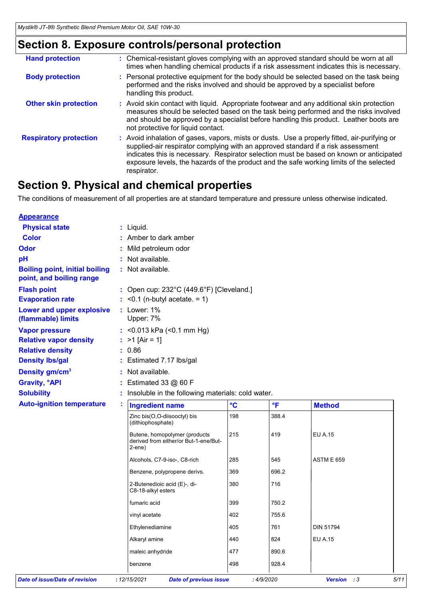# **Section 8. Exposure controls/personal protection**

| <b>Hand protection</b>        | : Chemical-resistant gloves complying with an approved standard should be worn at all<br>times when handling chemical products if a risk assessment indicates this is necessary.                                                                                                                                                                                                      |
|-------------------------------|---------------------------------------------------------------------------------------------------------------------------------------------------------------------------------------------------------------------------------------------------------------------------------------------------------------------------------------------------------------------------------------|
| <b>Body protection</b>        | : Personal protective equipment for the body should be selected based on the task being<br>performed and the risks involved and should be approved by a specialist before<br>handling this product.                                                                                                                                                                                   |
| <b>Other skin protection</b>  | : Avoid skin contact with liquid. Appropriate footwear and any additional skin protection<br>measures should be selected based on the task being performed and the risks involved<br>and should be approved by a specialist before handling this product. Leather boots are<br>not protective for liquid contact.                                                                     |
| <b>Respiratory protection</b> | : Avoid inhalation of gases, vapors, mists or dusts. Use a properly fitted, air-purifying or<br>supplied-air respirator complying with an approved standard if a risk assessment<br>indicates this is necessary. Respirator selection must be based on known or anticipated<br>exposure levels, the hazards of the product and the safe working limits of the selected<br>respirator. |

# **Section 9. Physical and chemical properties**

The conditions of measurement of all properties are at standard temperature and pressure unless otherwise indicated.

| <b>Appearance</b>                                                 |   |                                                                                  |                 |                         |                   |  |  |  |
|-------------------------------------------------------------------|---|----------------------------------------------------------------------------------|-----------------|-------------------------|-------------------|--|--|--|
| <b>Physical state</b>                                             |   | : Liquid.                                                                        |                 |                         |                   |  |  |  |
| <b>Color</b>                                                      |   | : Amber to dark amber                                                            |                 |                         |                   |  |  |  |
| <b>Odor</b>                                                       |   | Mild petroleum odor                                                              |                 |                         |                   |  |  |  |
| pH                                                                |   | Not available.                                                                   |                 |                         |                   |  |  |  |
| <b>Boiling point, initial boiling</b><br>point, and boiling range |   | : Not available.                                                                 |                 |                         |                   |  |  |  |
| <b>Flash point</b>                                                |   | : Open cup: 232°C (449.6°F) [Cleveland.]                                         |                 |                         |                   |  |  |  |
| <b>Evaporation rate</b>                                           |   | $:$ <0.1 (n-butyl acetate. = 1)                                                  |                 |                         |                   |  |  |  |
| Lower and upper explosive<br>(flammable) limits                   |   | : Lower: 1%<br>Upper: 7%                                                         |                 |                         |                   |  |  |  |
| <b>Vapor pressure</b>                                             |   | : < $0.013$ kPa (< $0.1$ mm Hg)                                                  |                 |                         |                   |  |  |  |
| <b>Relative vapor density</b>                                     |   | : $>1$ [Air = 1]                                                                 |                 |                         |                   |  |  |  |
| <b>Relative density</b>                                           |   | : 0.86                                                                           |                 |                         |                   |  |  |  |
| <b>Density Ibs/gal</b>                                            |   | : Estimated 7.17 lbs/gal                                                         |                 |                         |                   |  |  |  |
| Density gm/cm <sup>3</sup>                                        |   | : Not available.                                                                 |                 |                         |                   |  |  |  |
| <b>Gravity, °API</b>                                              |   | : Estimated 33 $@60$ F                                                           |                 |                         |                   |  |  |  |
| <b>Solubility</b>                                                 |   | : Insoluble in the following materials: cold water.                              |                 |                         |                   |  |  |  |
| <b>Auto-ignition temperature</b>                                  | ÷ | <b>Ingredient name</b>                                                           | $\rm ^{\circ}C$ | $\overline{\mathsf{F}}$ | <b>Method</b>     |  |  |  |
|                                                                   |   |                                                                                  |                 |                         |                   |  |  |  |
|                                                                   |   | Zinc bis(O,O-diisooctyl) bis<br>(dithiophosphate)                                | 198             | 388.4                   |                   |  |  |  |
|                                                                   |   | Butene, homopolymer (products<br>derived from either/or But-1-ene/But-<br>2-ene) | 215             | 419                     | <b>EU A.15</b>    |  |  |  |
|                                                                   |   | Alcohols, C7-9-iso-, C8-rich                                                     | 285             | 545                     | <b>ASTM E 659</b> |  |  |  |
|                                                                   |   | Benzene, polypropene derivs.                                                     | 369             | 696.2                   |                   |  |  |  |
|                                                                   |   | 2-Butenedioic acid (E)-, di-<br>C8-18-alkyl esters                               | 380             | 716                     |                   |  |  |  |
|                                                                   |   | fumaric acid                                                                     | 399             | 750.2                   |                   |  |  |  |
|                                                                   |   | vinyl acetate                                                                    | 402             | 755.6                   |                   |  |  |  |
|                                                                   |   | Ethylenediamine                                                                  | 405             | 761                     | <b>DIN 51794</b>  |  |  |  |
|                                                                   |   | Alkaryl amine                                                                    | 440             | 824                     | <b>EU A.15</b>    |  |  |  |
|                                                                   |   | maleic anhydride                                                                 | 477             | 890.6                   |                   |  |  |  |
|                                                                   |   | benzene                                                                          | 498             | 928.4                   |                   |  |  |  |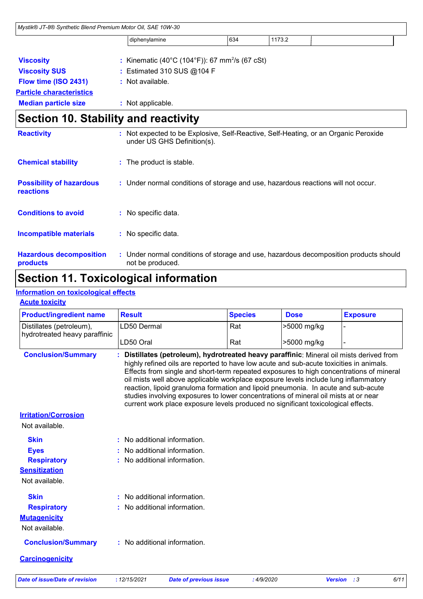| Mystik® JT-8® Synthetic Blend Premium Motor Oil, SAE 10W-30 |                                                                                                           |                                                                                   |     |        |                                                                                     |  |
|-------------------------------------------------------------|-----------------------------------------------------------------------------------------------------------|-----------------------------------------------------------------------------------|-----|--------|-------------------------------------------------------------------------------------|--|
|                                                             |                                                                                                           | diphenylamine                                                                     | 634 | 1173.2 |                                                                                     |  |
| <b>Viscosity</b>                                            |                                                                                                           | : Kinematic (40°C (104°F)): 67 mm <sup>2</sup> /s (67 cSt)                        |     |        |                                                                                     |  |
| <b>Viscosity SUS</b>                                        |                                                                                                           | : Estimated 310 SUS @104 F                                                        |     |        |                                                                                     |  |
| Flow time (ISO 2431)                                        |                                                                                                           | : Not available.                                                                  |     |        |                                                                                     |  |
| <b>Particle characteristics</b>                             |                                                                                                           |                                                                                   |     |        |                                                                                     |  |
| <b>Median particle size</b>                                 |                                                                                                           | : Not applicable.                                                                 |     |        |                                                                                     |  |
| <b>Section 10. Stability and reactivity</b>                 |                                                                                                           |                                                                                   |     |        |                                                                                     |  |
| <b>Reactivity</b>                                           |                                                                                                           | under US GHS Definition(s).                                                       |     |        | : Not expected to be Explosive, Self-Reactive, Self-Heating, or an Organic Peroxide |  |
| <b>Chemical stability</b>                                   |                                                                                                           | : The product is stable.                                                          |     |        |                                                                                     |  |
| <b>Possibility of hazardous</b><br>reactions                |                                                                                                           | : Under normal conditions of storage and use, hazardous reactions will not occur. |     |        |                                                                                     |  |
| <b>Conditions to avoid</b>                                  |                                                                                                           | : No specific data.                                                               |     |        |                                                                                     |  |
| <b>Incompatible materials</b>                               |                                                                                                           | : No specific data.                                                               |     |        |                                                                                     |  |
| <b>Hazardous decomposition</b><br>products                  | : Under normal conditions of storage and use, hazardous decomposition products should<br>not be produced. |                                                                                   |     |        |                                                                                     |  |

# **Section 11. Toxicological information**

### **Information on toxicological effects**

| <b>Product/ingredient name</b>                            | <b>Result</b>                                                                                                                                                                                                                                                                                                                                                                                                                                                                                                                                                                                                                        |                               | <b>Species</b> | <b>Dose</b> | <b>Exposure</b>                      |  |
|-----------------------------------------------------------|--------------------------------------------------------------------------------------------------------------------------------------------------------------------------------------------------------------------------------------------------------------------------------------------------------------------------------------------------------------------------------------------------------------------------------------------------------------------------------------------------------------------------------------------------------------------------------------------------------------------------------------|-------------------------------|----------------|-------------|--------------------------------------|--|
| Distillates (petroleum),<br>hydrotreated heavy paraffinic | LD50 Dermal                                                                                                                                                                                                                                                                                                                                                                                                                                                                                                                                                                                                                          |                               | Rat            | >5000 mg/kg |                                      |  |
|                                                           | LD50 Oral                                                                                                                                                                                                                                                                                                                                                                                                                                                                                                                                                                                                                            |                               | Rat            | >5000 mg/kg |                                      |  |
| <b>Conclusion/Summary</b>                                 | Distillates (petroleum), hydrotreated heavy paraffinic: Mineral oil mists derived from<br>highly refined oils are reported to have low acute and sub-acute toxicities in animals.<br>Effects from single and short-term repeated exposures to high concentrations of mineral<br>oil mists well above applicable workplace exposure levels include lung inflammatory<br>reaction, lipoid granuloma formation and lipoid pneumonia. In acute and sub-acute<br>studies involving exposures to lower concentrations of mineral oil mists at or near<br>current work place exposure levels produced no significant toxicological effects. |                               |                |             |                                      |  |
| <b>Irritation/Corrosion</b>                               |                                                                                                                                                                                                                                                                                                                                                                                                                                                                                                                                                                                                                                      |                               |                |             |                                      |  |
| Not available.                                            |                                                                                                                                                                                                                                                                                                                                                                                                                                                                                                                                                                                                                                      |                               |                |             |                                      |  |
| <b>Skin</b>                                               | : No additional information.                                                                                                                                                                                                                                                                                                                                                                                                                                                                                                                                                                                                         |                               |                |             |                                      |  |
| <b>Eyes</b>                                               | No additional information.                                                                                                                                                                                                                                                                                                                                                                                                                                                                                                                                                                                                           |                               |                |             |                                      |  |
| <b>Respiratory</b>                                        | : No additional information.                                                                                                                                                                                                                                                                                                                                                                                                                                                                                                                                                                                                         |                               |                |             |                                      |  |
| <b>Sensitization</b><br>Not available.                    |                                                                                                                                                                                                                                                                                                                                                                                                                                                                                                                                                                                                                                      |                               |                |             |                                      |  |
| <b>Skin</b>                                               | : No additional information.                                                                                                                                                                                                                                                                                                                                                                                                                                                                                                                                                                                                         |                               |                |             |                                      |  |
| <b>Respiratory</b>                                        | : No additional information.                                                                                                                                                                                                                                                                                                                                                                                                                                                                                                                                                                                                         |                               |                |             |                                      |  |
| <b>Mutagenicity</b>                                       |                                                                                                                                                                                                                                                                                                                                                                                                                                                                                                                                                                                                                                      |                               |                |             |                                      |  |
| Not available.                                            |                                                                                                                                                                                                                                                                                                                                                                                                                                                                                                                                                                                                                                      |                               |                |             |                                      |  |
| <b>Conclusion/Summary</b>                                 | : No additional information.                                                                                                                                                                                                                                                                                                                                                                                                                                                                                                                                                                                                         |                               |                |             |                                      |  |
| <b>Carcinogenicity</b>                                    |                                                                                                                                                                                                                                                                                                                                                                                                                                                                                                                                                                                                                                      |                               |                |             |                                      |  |
| <b>Date of issue/Date of revision</b>                     | : 12/15/2021                                                                                                                                                                                                                                                                                                                                                                                                                                                                                                                                                                                                                         | <b>Date of previous issue</b> | :4/9/2020      |             | <b>Version</b><br>6/11<br>$\cdot$ :3 |  |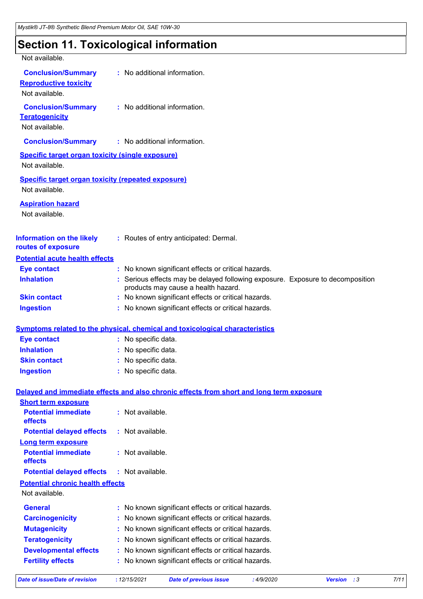### **Section 11. Toxicological information**

| Not available.                                            |                                                                                          |
|-----------------------------------------------------------|------------------------------------------------------------------------------------------|
| <b>Conclusion/Summary</b>                                 | : No additional information.                                                             |
| <b>Reproductive toxicity</b>                              |                                                                                          |
| Not available.                                            |                                                                                          |
| <b>Conclusion/Summary</b>                                 | : No additional information.                                                             |
| <b>Teratogenicity</b>                                     |                                                                                          |
| Not available.                                            |                                                                                          |
| <b>Conclusion/Summary</b>                                 | : No additional information.                                                             |
| <b>Specific target organ toxicity (single exposure)</b>   |                                                                                          |
| Not available.                                            |                                                                                          |
| <b>Specific target organ toxicity (repeated exposure)</b> |                                                                                          |
| Not available.                                            |                                                                                          |
|                                                           |                                                                                          |
| <b>Aspiration hazard</b>                                  |                                                                                          |
| Not available.                                            |                                                                                          |
|                                                           |                                                                                          |
| <b>Information on the likely</b><br>routes of exposure    | : Routes of entry anticipated: Dermal.                                                   |
| <b>Potential acute health effects</b>                     |                                                                                          |
| <b>Eye contact</b>                                        | : No known significant effects or critical hazards.                                      |
| <b>Inhalation</b>                                         | : Serious effects may be delayed following exposure. Exposure to decomposition           |
|                                                           | products may cause a health hazard.                                                      |
| <b>Skin contact</b>                                       | : No known significant effects or critical hazards.                                      |
| <b>Ingestion</b>                                          | : No known significant effects or critical hazards.                                      |
|                                                           |                                                                                          |
|                                                           | <b>Symptoms related to the physical, chemical and toxicological characteristics</b>      |
| <b>Eye contact</b>                                        | : No specific data.                                                                      |
| <b>Inhalation</b>                                         | : No specific data.                                                                      |
| <b>Skin contact</b>                                       | : No specific data.                                                                      |
| <b>Ingestion</b>                                          | : No specific data.                                                                      |
|                                                           | Delayed and immediate effects and also chronic effects from short and long term exposure |
| <b>Short term exposure</b>                                |                                                                                          |
| <b>Potential immediate</b>                                | : Not available.                                                                         |
| effects                                                   |                                                                                          |
| <b>Potential delayed effects</b>                          | : Not available.                                                                         |
| <b>Long term exposure</b>                                 |                                                                                          |
| <b>Potential immediate</b>                                | : Not available.                                                                         |
| effects<br><b>Potential delayed effects</b>               | : Not available.                                                                         |
| <b>Potential chronic health effects</b>                   |                                                                                          |
| Not available.                                            |                                                                                          |
| <b>General</b>                                            | : No known significant effects or critical hazards.                                      |
| <b>Carcinogenicity</b>                                    | No known significant effects or critical hazards.                                        |
| <b>Mutagenicity</b>                                       | No known significant effects or critical hazards.                                        |
| <b>Teratogenicity</b>                                     | No known significant effects or critical hazards.                                        |
| <b>Developmental effects</b>                              | No known significant effects or critical hazards.                                        |
| <b>Fertility effects</b>                                  | No known significant effects or critical hazards.                                        |
|                                                           |                                                                                          |

*Date of issue/Date of revision* **:** *12/15/2021 Date of previous issue : 4/9/2020 Version : 3 7/11*

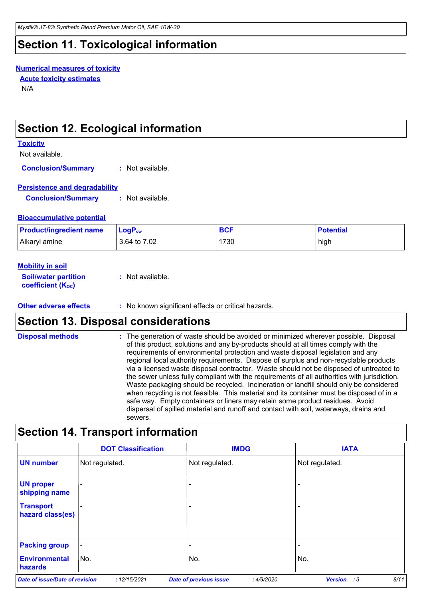# **Section 11. Toxicological information**

#### **Numerical measures of toxicity**

**Acute toxicity estimates**

N/A

### **Section 12. Ecological information**

#### **Toxicity**

Not available.

**Conclusion/Summary :** Not available.

### **Persistence and degradability**

**Conclusion/Summary :** Not available.

### **Bioaccumulative potential**

| <b>Product/ingredient name</b> | $\mathsf{LogP}_\mathsf{ow}$ | <b>BCF</b> | <b>Potential</b> |
|--------------------------------|-----------------------------|------------|------------------|
| Alkaryl amine                  | 3.64 to 7.02                | 1730       | high             |

### **Mobility in soil**

| <b>Soil/water partition</b> | : Not available. |
|-----------------------------|------------------|
| <b>coefficient (Koc)</b>    |                  |

**Other adverse effects** : No known significant effects or critical hazards.

# **Section 13. Disposal considerations**

| <b>Disposal methods</b> | : The generation of waste should be avoided or minimized wherever possible. Disposal<br>of this product, solutions and any by-products should at all times comply with the<br>requirements of environmental protection and waste disposal legislation and any<br>regional local authority requirements. Dispose of surplus and non-recyclable products<br>via a licensed waste disposal contractor. Waste should not be disposed of untreated to<br>the sewer unless fully compliant with the requirements of all authorities with jurisdiction.<br>Waste packaging should be recycled. Incineration or landfill should only be considered<br>when recycling is not feasible. This material and its container must be disposed of in a<br>safe way. Empty containers or liners may retain some product residues. Avoid<br>dispersal of spilled material and runoff and contact with soil, waterways, drains and<br>sewers. |
|-------------------------|----------------------------------------------------------------------------------------------------------------------------------------------------------------------------------------------------------------------------------------------------------------------------------------------------------------------------------------------------------------------------------------------------------------------------------------------------------------------------------------------------------------------------------------------------------------------------------------------------------------------------------------------------------------------------------------------------------------------------------------------------------------------------------------------------------------------------------------------------------------------------------------------------------------------------|
|                         |                                                                                                                                                                                                                                                                                                                                                                                                                                                                                                                                                                                                                                                                                                                                                                                                                                                                                                                            |

# **Section 14. Transport information**

|                                      | <b>DOT Classification</b> | <b>IMDG</b>                                | <b>IATA</b>                          |
|--------------------------------------|---------------------------|--------------------------------------------|--------------------------------------|
| <b>UN number</b>                     | Not regulated.            | Not regulated.                             | Not regulated.                       |
| <b>UN proper</b><br>shipping name    |                           | -                                          |                                      |
| <b>Transport</b><br>hazard class(es) |                           |                                            |                                      |
| <b>Packing group</b>                 |                           |                                            |                                      |
| <b>Environmental</b><br>hazards      | No.                       | No.                                        | No.                                  |
| Date of issue/Date of revision       | : 12/15/2021              | <b>Date of previous issue</b><br>:4/9/2020 | 8/11<br><b>Version</b><br>$\cdot$ :3 |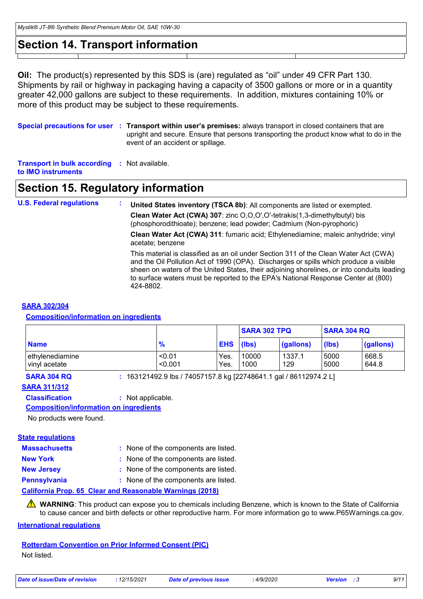### **Section 14. Transport information**

**Oil:** The product(s) represented by this SDS is (are) regulated as "oil" under 49 CFR Part 130. Shipments by rail or highway in packaging having a capacity of 3500 gallons or more or in a quantity greater 42,000 gallons are subject to these requirements. In addition, mixtures containing 10% or more of this product may be subject to these requirements.

**Special precautions for user Transport within user's premises:** always transport in closed containers that are **:** upright and secure. Ensure that persons transporting the product know what to do in the event of an accident or spillage.

**Transport in bulk according :** Not available. **to IMO instruments**

### **Section 15. Regulatory information**

**U.S. Federal regulations : United States inventory (TSCA 8b)**: All components are listed or exempted. **Clean Water Act (CWA) 307**: zinc O,O,O',O'-tetrakis(1,3-dimethylbutyl) bis (phosphorodithioate); benzene; lead powder; Cadmium (Non-pyrophoric) **Clean Water Act (CWA) 311**: fumaric acid; Ethylenediamine; maleic anhydride; vinyl acetate; benzene This material is classified as an oil under Section 311 of the Clean Water Act (CWA) and the Oil Pollution Act of 1990 (OPA). Discharges or spills which produce a visible sheen on waters of the United States, their adjoining shorelines, or into conduits leading to surface waters must be reported to the EPA's National Response Center at (800) 424-8802.

#### **SARA 302/304**

### **Composition/information on ingredients**

|                                  |                   |                  | <b>SARA 302 TPQ</b> |               | <b>SARA 304 RQ</b> |                |
|----------------------------------|-------------------|------------------|---------------------|---------------|--------------------|----------------|
| <b>Name</b>                      | $\frac{9}{6}$     | <b>EHS</b> (lbs) |                     | (gallons)     | (lbs)              | (gallons)      |
| ethylenediamine<br>vinyl acetate | < 0.01<br>< 0.001 | Yes.<br>Yes.     | 10000<br>1000       | 1337.1<br>129 | 5000<br>5000       | 668.5<br>644.8 |

**SARA 304 RQ :** 163121492.9 lbs / 74057157.8 kg [22748641.1 gal / 86112974.2 L]

#### **SARA 311/312**

**Classification :** Not applicable.

**Composition/information on ingredients**

No products were found.

#### **State regulations**

| <b>Massachusetts</b> | : None of the components are listed.                     |
|----------------------|----------------------------------------------------------|
| <b>New York</b>      | : None of the components are listed.                     |
| <b>New Jersey</b>    | : None of the components are listed.                     |
| <b>Pennsylvania</b>  | : None of the components are listed.                     |
|                      | California Prop. 65 Clear and Reasonable Warnings (2018) |

**WARNING**: This product can expose you to chemicals including Benzene, which is known to the State of California to cause cancer and birth defects or other reproductive harm. For more information go to www.P65Warnings.ca.gov.

#### **International regulations**

**Rotterdam Convention on Prior Informed Consent (PIC)** Not listed.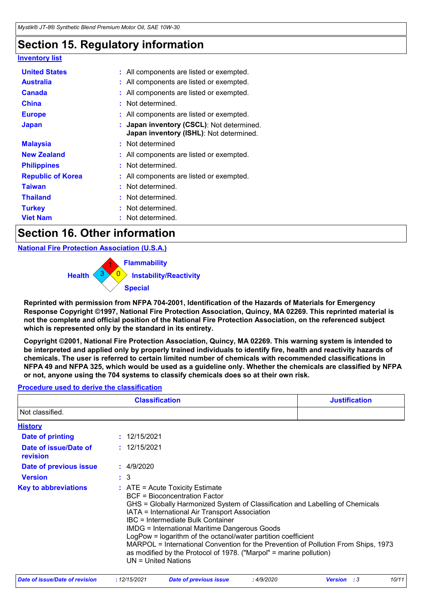# **Section 15. Regulatory information**

| <u>Inventory list</u>    |                                                                                      |  |
|--------------------------|--------------------------------------------------------------------------------------|--|
| <b>United States</b>     | : All components are listed or exempted.                                             |  |
| <b>Australia</b>         | : All components are listed or exempted.                                             |  |
| <b>Canada</b>            | : All components are listed or exempted.                                             |  |
| <b>China</b>             | : Not determined.                                                                    |  |
| <b>Europe</b>            | : All components are listed or exempted.                                             |  |
| <b>Japan</b>             | : Japan inventory (CSCL): Not determined.<br>Japan inventory (ISHL): Not determined. |  |
| <b>Malaysia</b>          | : Not determined                                                                     |  |
| <b>New Zealand</b>       | : All components are listed or exempted.                                             |  |
| <b>Philippines</b>       | : Not determined.                                                                    |  |
| <b>Republic of Korea</b> | : All components are listed or exempted.                                             |  |
| <b>Taiwan</b>            | : Not determined.                                                                    |  |
| <b>Thailand</b>          | : Not determined.                                                                    |  |
| <b>Turkey</b>            | : Not determined.                                                                    |  |
| <b>Viet Nam</b>          | : Not determined.                                                                    |  |

### **Section 16. Other information**

**National Fire Protection Association (U.S.A.)**

0 **Instability/Reactivity** 1 **Flammability**  $3 \times 0$  | **Health Special**

**Reprinted with permission from NFPA 704-2001, Identification of the Hazards of Materials for Emergency Response Copyright ©1997, National Fire Protection Association, Quincy, MA 02269. This reprinted material is not the complete and official position of the National Fire Protection Association, on the referenced subject which is represented only by the standard in its entirety.**

**Copyright ©2001, National Fire Protection Association, Quincy, MA 02269. This warning system is intended to be interpreted and applied only by properly trained individuals to identify fire, health and reactivity hazards of chemicals. The user is referred to certain limited number of chemicals with recommended classifications in NFPA 49 and NFPA 325, which would be used as a guideline only. Whether the chemicals are classified by NFPA or not, anyone using the 704 systems to classify chemicals does so at their own risk.**

### **Procedure used to derive the classification**

|                                   | <b>Justification</b>                                                                                                                                                                                                                                       |                                                                                                                                                                                                                                                                                                            |  |
|-----------------------------------|------------------------------------------------------------------------------------------------------------------------------------------------------------------------------------------------------------------------------------------------------------|------------------------------------------------------------------------------------------------------------------------------------------------------------------------------------------------------------------------------------------------------------------------------------------------------------|--|
| Not classified.                   |                                                                                                                                                                                                                                                            |                                                                                                                                                                                                                                                                                                            |  |
| <b>History</b>                    |                                                                                                                                                                                                                                                            |                                                                                                                                                                                                                                                                                                            |  |
| Date of printing                  | : 12/15/2021                                                                                                                                                                                                                                               |                                                                                                                                                                                                                                                                                                            |  |
| Date of issue/Date of<br>revision | : 12/15/2021                                                                                                                                                                                                                                               |                                                                                                                                                                                                                                                                                                            |  |
| Date of previous issue            | : 4/9/2020                                                                                                                                                                                                                                                 |                                                                                                                                                                                                                                                                                                            |  |
| <b>Version</b>                    | $\therefore$ 3                                                                                                                                                                                                                                             |                                                                                                                                                                                                                                                                                                            |  |
| <b>Key to abbreviations</b>       | $\therefore$ ATE = Acute Toxicity Estimate<br><b>BCF</b> = Bioconcentration Factor<br>IATA = International Air Transport Association<br>IBC = Intermediate Bulk Container<br><b>IMDG = International Maritime Dangerous Goods</b><br>$UN = United Nations$ | GHS = Globally Harmonized System of Classification and Labelling of Chemicals<br>LogPow = logarithm of the octanol/water partition coefficient<br>MARPOL = International Convention for the Prevention of Pollution From Ships, 1973<br>as modified by the Protocol of 1978. ("Marpol" = marine pollution) |  |